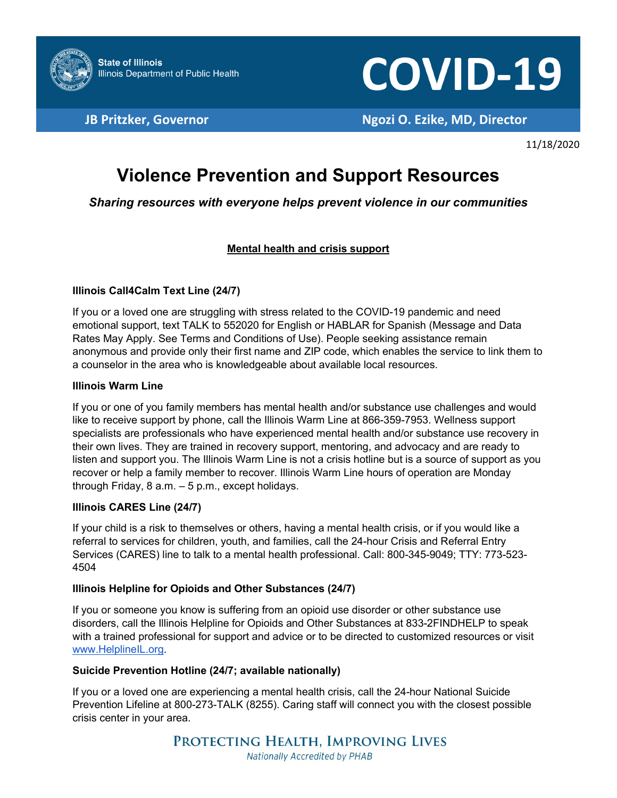

# **COVID-19**

**JB Pritzker, Governor Ngozi O. Ezike, MD, Director**

11/18/2020

# **Violence Prevention and Support Resources**

*Sharing resources with everyone helps prevent violence in our communities*

# **Mental health and crisis support**

## **Illinois Call4Calm Text Line (24/7)**

If you or a loved one are struggling with stress related to the COVID-19 pandemic and need emotional support, text TALK to 552020 for English or HABLAR for Spanish (Message and Data Rates May Apply. See Terms and Conditions of Use). People seeking assistance remain anonymous and provide only their first name and ZIP code, which enables the service to link them to a counselor in the area who is knowledgeable about available local resources.

#### **Illinois Warm Line**

If you or one of you family members has mental health and/or substance use challenges and would like to receive support by phone, call the Illinois Warm Line at 866-359-7953. Wellness support specialists are professionals who have experienced mental health and/or substance use recovery in their own lives. They are trained in recovery support, mentoring, and advocacy and are ready to listen and support you. The Illinois Warm Line is not a crisis hotline but is a source of support as you recover or help a family member to recover. Illinois Warm Line hours of operation are Monday through Friday, 8 a.m. – 5 p.m., except holidays.

## **Illinois CARES Line (24/7)**

If your child is a risk to themselves or others, having a mental health crisis, or if you would like a referral to services for children, youth, and families, call the 24-hour Crisis and Referral Entry Services (CARES) line to talk to a mental health professional. Call: 800-345-9049; TTY: 773-523- 4504

#### **Illinois Helpline for Opioids and Other Substances (24/7)**

If you or someone you know is suffering from an opioid use disorder or other substance use disorders, call the Illinois Helpline for Opioids and Other Substances at 833-2FINDHELP to speak with a trained professional for support and advice or to be directed to customized resources or visit [www.HelplineIL.org.](http://www.helplineil.org/)

#### **Suicide Prevention Hotline (24/7; available nationally)**

If you or a loved one are experiencing a mental health crisis, call the 24-hour National Suicide Prevention Lifeline at 800-273-TALK (8255). Caring staff will connect you with the closest possible crisis center in your area.

> PROTECTING HEALTH, IMPROVING LIVES **Nationally Accredited by PHAB**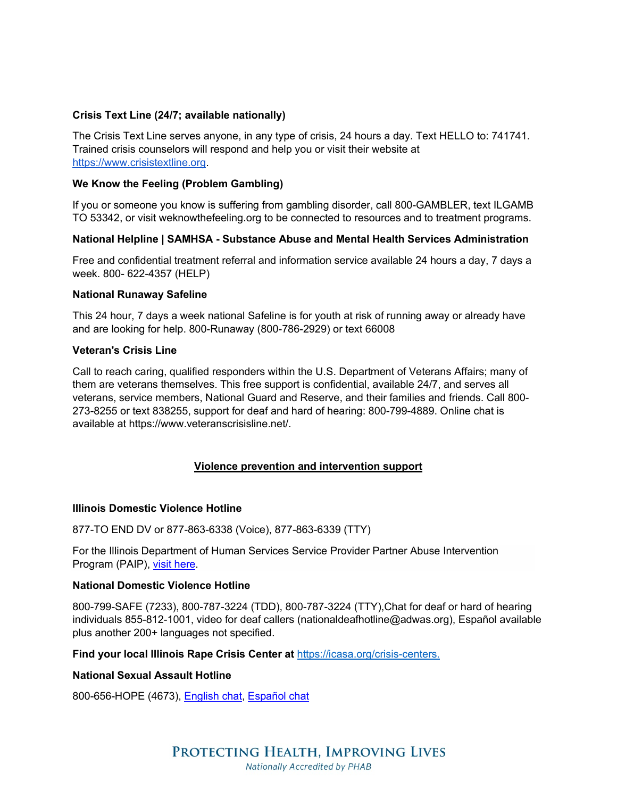#### **Crisis Text Line (24/7; available nationally)**

The Crisis Text Line serves anyone, in any type of crisis, 24 hours a day. Text HELLO to: 741741. Trained crisis counselors will respond and help you or visit their website at [https://www.crisistextline.org.](https://www.crisistextline.org/)

#### **We Know the Feeling (Problem Gambling)**

If you or someone you know is suffering from gambling disorder, call 800-GAMBLER, text ILGAMB TO 53342, or visit weknowthefeeling.org to be connected to resources and to treatment programs.

#### **National Helpline | SAMHSA - Substance Abuse and Mental Health Services Administration**

Free and confidential treatment referral and information service available 24 hours a day, 7 days a week. 800- 622-4357 (HELP)

#### **National Runaway Safeline**

This 24 hour, 7 days a week national Safeline is for youth at risk of running away or already have and are looking for help. 800-Runaway (800-786-2929) or text 66008

#### **Veteran's Crisis Line**

Call to reach caring, qualified responders within the U.S. Department of Veterans Affairs; many of them are veterans themselves. This free support is confidential, available 24/7, and serves all veterans, service members, National Guard and Reserve, and their families and friends. Call 800- 273-8255 or text 838255, support for deaf and hard of hearing: 800-799-4889. Online chat is available at https://www.veteranscrisisline.net/.

#### **Violence prevention and intervention support**

#### **Illinois Domestic Violence Hotline**

877-TO END DV or 877-863-6338 (Voice), 877-863-6339 (TTY)

For the Illinois Department of Human Services Service Provider Partner Abuse Intervention Program (PAIP), [visit here.](http://www.dhs.state.il.us/page.aspx?item=30276)

#### **National Domestic Violence Hotline**

800-799-SAFE (7233), 800-787-3224 (TDD), 800-787-3224 (TTY),Chat for deaf or hard of hearing individuals 855-812-1001, video for deaf callers (nationaldeafhotline@adwas.org), Español available plus another 200+ languages not specified.

**Find your local Illinois Rape Crisis Center at** [https://icasa.org/crisis-centers.](https://icasa.org/crisis-centers)

#### **National Sexual Assault Hotline**

800-656-HOPE (4673), [English chat,](https://hotline.rainn.org/online?_ga=2.130470284.2094210256.1589575076-1952594544.1589575076) [Español chat](https://hotline.rainn.org/es)